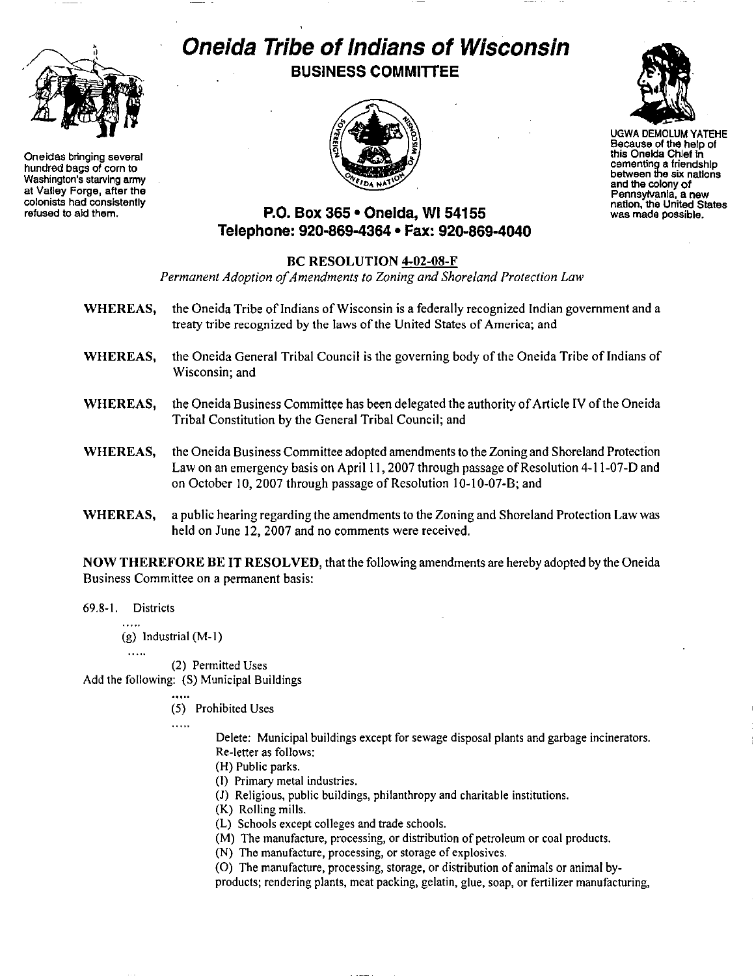

**Oneidas bringing several** hundred bags of com to Washington's starving army at Valiey Forge, after the **colonists had consistently refused to aid them.**

# **Oneida Tribe of Indians of Wisconsin BUSINESS COMMITTEE**





UGWA DEMOLUM YATEHE Because of the help of this Oneida Chief in **cementing a friendshIp between the six nations** and the colony of Pennsylvania, a new nation, the United States **was made possible.**

## **P.O. Box 365· Oneida,** WI 54155 **Telephone: 920·869-4364 • Fax: 920-869·4040**

#### BC RESOLUTION 4-02-08-F

*Permanent Adoption ofAmendments to Zoning and Shoreland Protection Law*

- WHEREAS, the Oneida Tribe of Indians of Wisconsin is a federally recognized Indian government and a treaty tribe recognized by the laws of the United States of America; and
- WHEREAS, the Oneida General Tribal Council is the governing body of the Oneida Tribe of Indians of Wisconsin; and
- WHEREAS, the Oneida Business Committee has been delegated the authority of Article IV of the Oneida Tribal Constitution by the General Tribal Council; and
- WHEREAS, the Oneida Business Committee adopted amendments to the Zoning and Shoreland Protection Law on an emergency basis on April 11, 2007 through passage of Resolution 4-11-07-D and on October 10, 2007 through passage of Resolution 10-10-07-B; and
- WHEREAS, a public hearing regarding the amendments to the Zoning and Shoreland Protection Law was held on June 12, 2007 and no comments were received.

NOW THEREFORE BE IT RESOLVED, that the following amendments are hereby adopted by the Oneida Business Committee on a permanent basis:

69.8-1. Districts

(g) Industrial (M-I)

 $\ldots$ 

(2) Permitted Uses

Add the following: (S) Municipal Buildings

(5) Prohibited Uses

 $\cdots$ 

Delete: Municipal buildings except for sewage disposal plants and garbage incinerators. Re-Ietter as follows:

(H) Public parks.

- (I) Primary metal industries.
- (J) Religious, public buildings, philanthropy and charitable institutions.
- (K) Rolling mills.
- (L) Schools except colleges and trade schools.
- (M) The manufacture, processing, or distribution of petroleum or coal products.
- (N) The manufacture, processing, or storage of explosives.
- (0) The manufacture, processing, storage, or distribution of animals or animal byproducts; rendering plants, meat packing, gelatin, glue, soap, or fertilizer manufacturing,